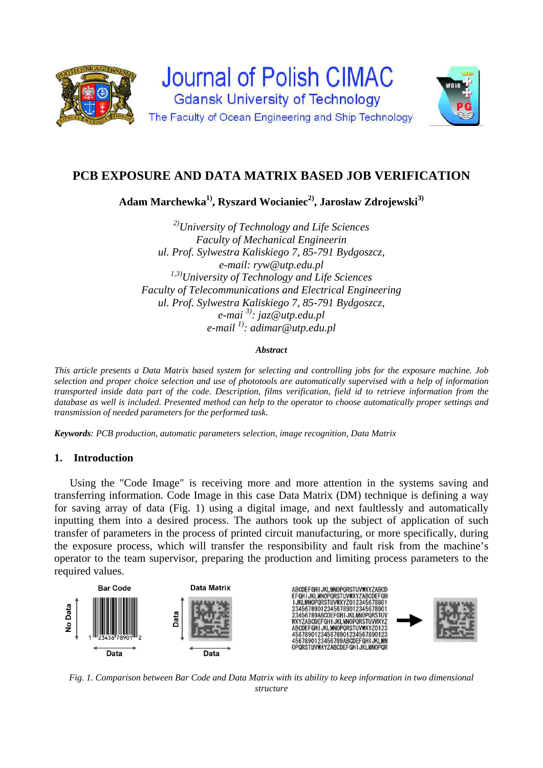

# **PCB EXPOSURE AND DATA MATRIX BASED JOB VERIFICATION**

**Adam Marchewka1), Ryszard Wocianiec2), Jarosław Zdrojewski3)**

*2)University of Technology and Life Sciences Faculty of Mechanical Engineerin ul. Prof. Sylwestra Kaliskiego 7, 85-791 Bydgoszcz, e-mail: ryw@utp.edu.pl 1,3)University of Technology and Life Sciences Faculty of Telecommunications and Electrical Engineering ul. Prof. Sylwestra Kaliskiego 7, 85-791 Bydgoszcz, e-mai 3): jaz@utp.edu.pl e-mail 1): adimar@utp.edu.pl* 

#### *Abstract*

*This article presents a Data Matrix based system for selecting and controlling jobs for the exposure machine. Job selection and proper choice selection and use of phototools are automatically supervised with a help of information transported inside data part of the code. Description, films verification, field id to retrieve information from the database as well is included. Presented method can help to the operator to choose automatically proper settings and transmission of needed parameters for the performed task.* 

*Keywords: PCB production, automatic parameters selection, image recognition, Data Matrix*

# **1. Introduction**

Using the "Code Image" is receiving more and more attention in the systems saving and transferring information. Code Image in this case Data Matrix (DM) technique is defining a way for saving array of data (Fig. 1) using a digital image, and next faultlessly and automatically inputting them into a desired process. The authors took up the subject of application of such transfer of parameters in the process of printed circuit manufacturing, or more specifically, during the exposure process, which will transfer the responsibility and fault risk from the machine's operator to the team supervisor, preparing the production and limiting process parameters to the required values.



*Fig. 1. Comparison between Bar Code and Data Matrix with its ability to keep information in two dimensional structure*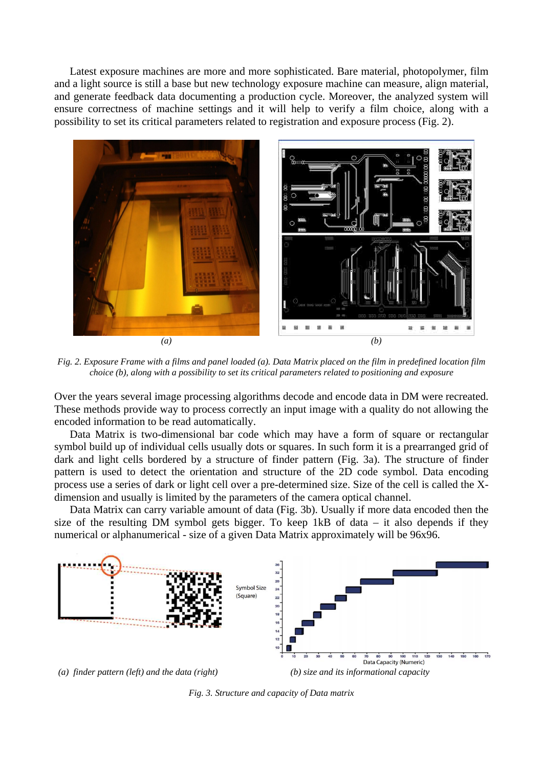Latest exposure machines are more and more sophisticated. Bare material, photopolymer, film and a light source is still a base but new technology exposure machine can measure, align material, and generate feedback data documenting a production cycle. Moreover, the analyzed system will ensure correctness of machine settings and it will help to verify a film choice, along with a possibility to set its critical parameters related to registration and exposure process (Fig. 2).



*Fig. 2. Exposure Frame with a films and panel loaded (a). Data Matrix placed on the film in predefined location film choice (b), along with a possibility to set its critical parameters related to positioning and exposure* 

Over the years several image processing algorithms decode and encode data in DM were recreated. These methods provide way to process correctly an input image with a quality do not allowing the encoded information to be read automatically.

Data Matrix is two-dimensional bar code which may have a form of square or rectangular symbol build up of individual cells usually dots or squares. In such form it is a prearranged grid of dark and light cells bordered by a structure of finder pattern (Fig. 3a). The structure of finder pattern is used to detect the orientation and structure of the 2D code symbol. Data encoding process use a series of dark or light cell over a pre-determined size. Size of the cell is called the Xdimension and usually is limited by the parameters of the camera optical channel.

 Data Matrix can carry variable amount of data (Fig. 3b). Usually if more data encoded then the size of the resulting DM symbol gets bigger. To keep 1kB of data – it also depends if they numerical or alphanumerical - size of a given Data Matrix approximately will be 96x96.



*Fig. 3. Structure and capacity of Data matrix*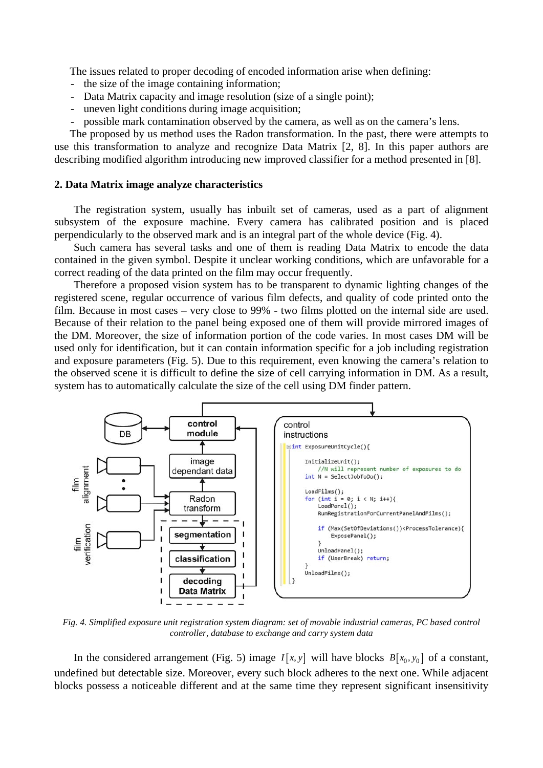The issues related to proper decoding of encoded information arise when defining:

- the size of the image containing information;
- Data Matrix capacity and image resolution (size of a single point);
- uneven light conditions during image acquisition;
- possible mark contamination observed by the camera, as well as on the camera's lens.

 The proposed by us method uses the Radon transformation. In the past, there were attempts to use this transformation to analyze and recognize Data Matrix [2, 8]. In this paper authors are describing modified algorithm introducing new improved classifier for a method presented in [8].

## **2. Data Matrix image analyze characteristics**

The registration system, usually has inbuilt set of cameras, used as a part of alignment subsystem of the exposure machine. Every camera has calibrated position and is placed perpendicularly to the observed mark and is an integral part of the whole device (Fig. 4).

Such camera has several tasks and one of them is reading Data Matrix to encode the data contained in the given symbol. Despite it unclear working conditions, which are unfavorable for a correct reading of the data printed on the film may occur frequently.

Therefore a proposed vision system has to be transparent to dynamic lighting changes of the registered scene, regular occurrence of various film defects, and quality of code printed onto the film. Because in most cases – very close to 99% - two films plotted on the internal side are used. Because of their relation to the panel being exposed one of them will provide mirrored images of the DM. Moreover, the size of information portion of the code varies. In most cases DM will be used only for identification, but it can contain information specific for a job including registration and exposure parameters (Fig. 5). Due to this requirement, even knowing the camera's relation to the observed scene it is difficult to define the size of cell carrying information in DM. As a result, system has to automatically calculate the size of the cell using DM finder pattern.



*Fig. 4. Simplified exposure unit registration system diagram: set of movable industrial cameras, PC based control controller, database to exchange and carry system data* 

In the considered arrangement (Fig. 5) image  $I[x, y]$  will have blocks  $B[x_0, y_0]$  of a constant, undefined but detectable size. Moreover, every such block adheres to the next one. While adjacent blocks possess a noticeable different and at the same time they represent significant insensitivity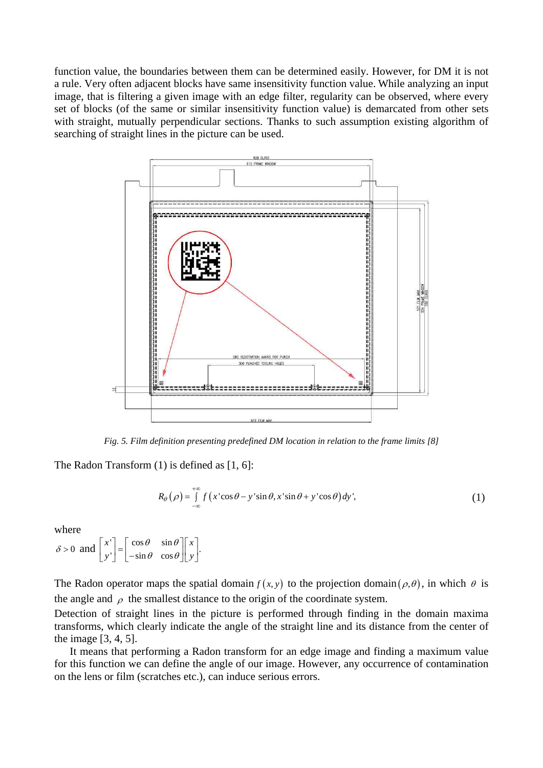function value, the boundaries between them can be determined easily. However, for DM it is not a rule. Very often adjacent blocks have same insensitivity function value. While analyzing an input image, that is filtering a given image with an edge filter, regularity can be observed, where every set of blocks (of the same or similar insensitivity function value) is demarcated from other sets with straight, mutually perpendicular sections. Thanks to such assumption existing algorithm of searching of straight lines in the picture can be used.



*Fig. 5. Film definition presenting predefined DM location in relation to the frame limits [8]* 

The Radon Transform (1) is defined as [1, 6]:

$$
R_{\theta}(\rho) = \int_{-\infty}^{+\infty} f(x' \cos \theta - y' \sin \theta, x' \sin \theta + y' \cos \theta) dy',
$$
 (1)

where

 $\delta > 0$  and  $\begin{bmatrix} x' \\ y' \end{bmatrix} = \begin{bmatrix} \cos \theta & \sin \theta \\ -\sin \theta & \cos \theta \end{bmatrix} \begin{bmatrix} x \\ y \end{bmatrix}$ .  $y'$  |  $-\sin\theta \cos\theta$  | y  $\theta$  sin  $\theta$  $\begin{bmatrix} x' \\ y' \end{bmatrix} = \begin{bmatrix} \cos \theta & \sin \theta \\ -\sin \theta & \cos \theta \end{bmatrix} \begin{bmatrix} x \\ y \end{bmatrix}$ 

The Radon operator maps the spatial domain  $f(x, y)$  to the projection domain  $(\rho, \theta)$ , in which  $\theta$  is the angle and  $\rho$  the smallest distance to the origin of the coordinate system.

Detection of straight lines in the picture is performed through finding in the domain maxima transforms, which clearly indicate the angle of the straight line and its distance from the center of the image [3, 4, 5].

It means that performing a Radon transform for an edge image and finding a maximum value for this function we can define the angle of our image. However, any occurrence of contamination on the lens or film (scratches etc.), can induce serious errors.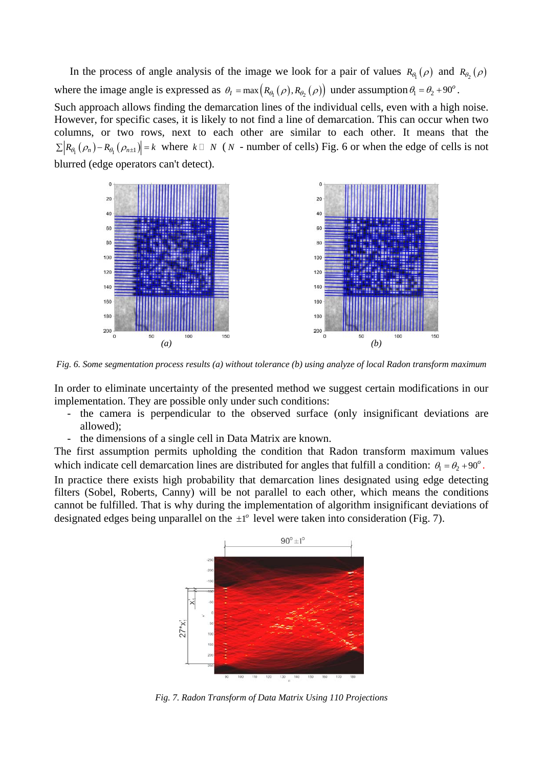In the process of angle analysis of the image we look for a pair of values  $R_{\theta_1}(\rho)$  and  $R_{\theta_2}(\rho)$ where the image angle is expressed as  $\theta_I = \max(R_{\theta_I}(\rho), R_{\theta_I}(\rho))$  under assumption  $\theta_I = \theta_2 + 90^\circ$ . Such approach allows finding the demarcation lines of the individual cells, even with a high noise. However, for specific cases, it is likely to not find a line of demarcation. This can occur when two columns, or two rows, next to each other are similar to each other. It means that the  $\sum R_{\theta_1}(\rho_n) - R_{\theta_1}(\rho_{n+1}) = k$  where  $k \square N$  (N - number of cells) Fig. 6 or when the edge of cells is not

blurred (edge operators can't detect).



*Fig. 6. Some segmentation process results (a) without tolerance (b) using analyze of local Radon transform maximum* 

In order to eliminate uncertainty of the presented method we suggest certain modifications in our implementation. They are possible only under such conditions:

- the camera is perpendicular to the observed surface (only insignificant deviations are allowed);
- the dimensions of a single cell in Data Matrix are known.

The first assumption permits upholding the condition that Radon transform maximum values which indicate cell demarcation lines are distributed for angles that fulfill a condition:  $\theta_1 = \theta_2 + 90^\circ$ .

In practice there exists high probability that demarcation lines designated using edge detecting filters (Sobel, Roberts, Canny) will be not parallel to each other, which means the conditions cannot be fulfilled. That is why during the implementation of algorithm insignificant deviations of designated edges being unparallel on the  $\pm 1^{\circ}$  level were taken into consideration (Fig. 7).



*Fig. 7. Radon Transform of Data Matrix Using 110 Projections*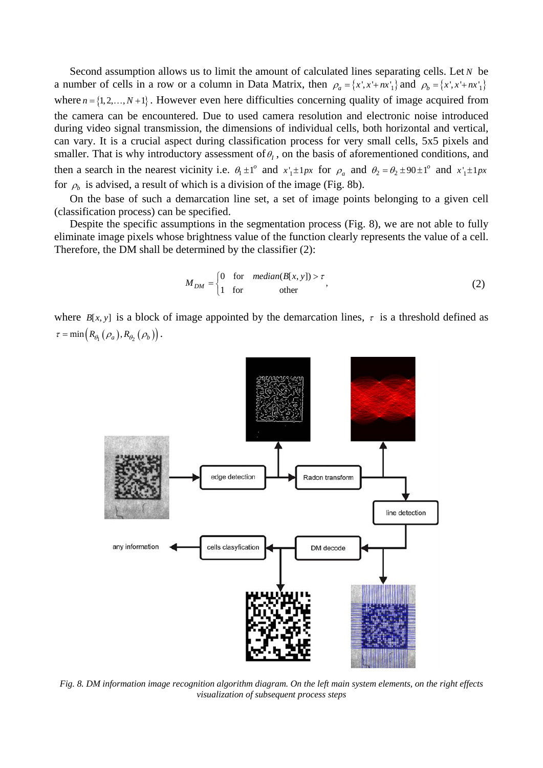Second assumption allows us to limit the amount of calculated lines separating cells. Let *N* be a number of cells in a row or a column in Data Matrix, then  $\rho_a = \{x', x' + nx_1'\}$  and  $\rho_b = \{x', x' + nx_1'\}$ where  $n = \{1, 2, ..., N+1\}$ . However even here difficulties concerning quality of image acquired from the camera can be encountered. Due to used camera resolution and electronic noise introduced during video signal transmission, the dimensions of individual cells, both horizontal and vertical, can vary. It is a crucial aspect during classification process for very small cells, 5x5 pixels and smaller. That is why introductory assessment of  $\theta$ , on the basis of aforementioned conditions, and then a search in the nearest vicinity i.e.  $\theta_1 \pm 1^\circ$  and  $x_1 \pm 1px$  for  $\rho_a$  and  $\theta_2 = \theta_2 \pm 90 \pm 1^\circ$  and  $x_1 \pm 1px$ for  $\rho_b$  is advised, a result of which is a division of the image (Fig. 8b).

On the base of such a demarcation line set, a set of image points belonging to a given cell (classification process) can be specified.

Despite the specific assumptions in the segmentation process (Fig. 8), we are not able to fully eliminate image pixels whose brightness value of the function clearly represents the value of a cell. Therefore, the DM shall be determined by the classifier (2):

$$
M_{DM} = \begin{cases} 0 & \text{for} \quad median(B[x, y]) > \tau \\ 1 & \text{for} \quad \text{other} \end{cases}
$$
 (2)

where  $B[x, y]$  is a block of image appointed by the demarcation lines,  $\tau$  is a threshold defined as  $\tau = \min \left( R_{\theta_1} \left( \rho_a \right), R_{\theta_2} \left( \rho_b \right) \right).$ 



*Fig. 8. DM information image recognition algorithm diagram. On the left main system elements, on the right effects visualization of subsequent process steps*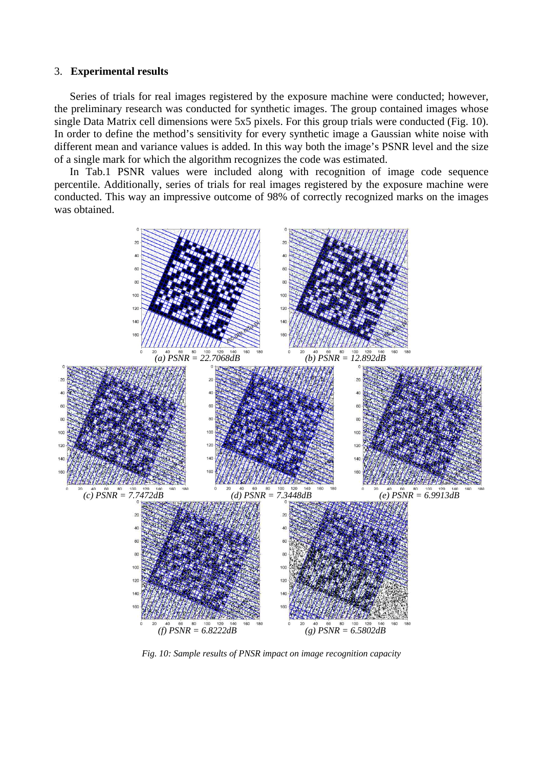#### 3. **Experimental results**

Series of trials for real images registered by the exposure machine were conducted; however, the preliminary research was conducted for synthetic images. The group contained images whose single Data Matrix cell dimensions were 5x5 pixels. For this group trials were conducted (Fig. 10). In order to define the method's sensitivity for every synthetic image a Gaussian white noise with different mean and variance values is added. In this way both the image's PSNR level and the size of a single mark for which the algorithm recognizes the code was estimated.

In Tab.1 PSNR values were included along with recognition of image code sequence percentile. Additionally, series of trials for real images registered by the exposure machine were conducted. This way an impressive outcome of 98% of correctly recognized marks on the images was obtained.



*Fig. 10: Sample results of PNSR impact on image recognition capacity*